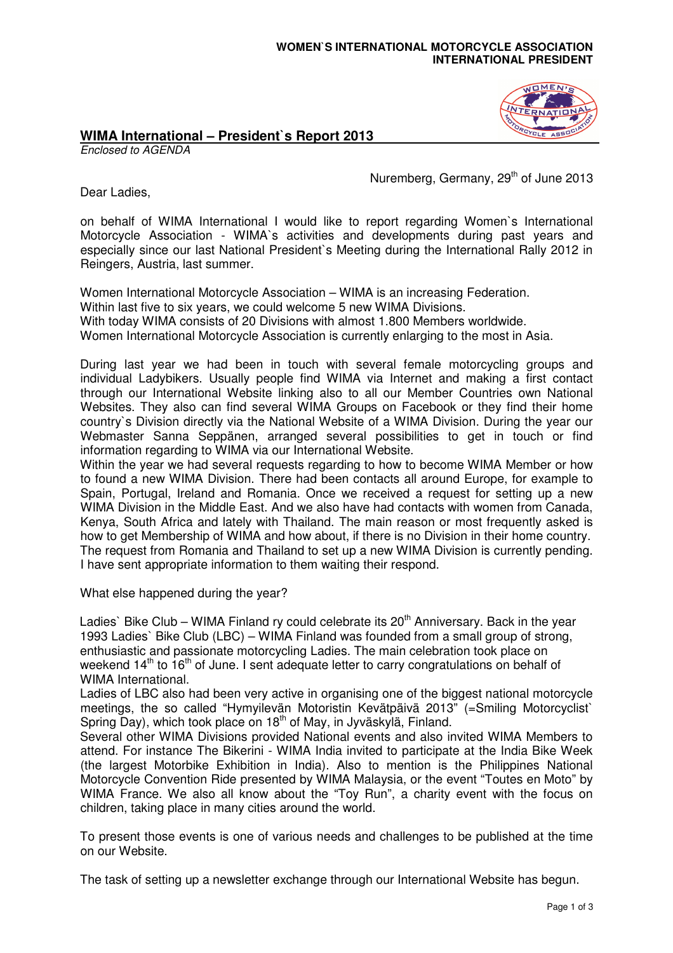## **WOMEN`S INTERNATIONAL MOTORCYCLE ASSOCIATION INTERNATIONAL PRESIDENT**

## **WIMA International – President`s Report 2013**

Enclosed to AGENDA

Nuremberg, Germany, 29<sup>th</sup> of June 2013

Dear Ladies,

on behalf of WIMA International I would like to report regarding Women`s International Motorcycle Association - WIMA`s activities and developments during past years and especially since our last National President`s Meeting during the International Rally 2012 in Reingers, Austria, last summer.

Women International Motorcycle Association – WIMA is an increasing Federation. Within last five to six years, we could welcome 5 new WIMA Divisions. With today WIMA consists of 20 Divisions with almost 1.800 Members worldwide. Women International Motorcycle Association is currently enlarging to the most in Asia.

During last year we had been in touch with several female motorcycling groups and individual Ladybikers. Usually people find WIMA via Internet and making a first contact through our International Website linking also to all our Member Countries own National Websites. They also can find several WIMA Groups on Facebook or they find their home country`s Division directly via the National Website of a WIMA Division. During the year our Webmaster Sanna Seppänen, arranged several possibilities to get in touch or find information regarding to WIMA via our International Website.

Within the year we had several requests regarding to how to become WIMA Member or how to found a new WIMA Division. There had been contacts all around Europe, for example to Spain, Portugal, Ireland and Romania. Once we received a request for setting up a new WIMA Division in the Middle East. And we also have had contacts with women from Canada, Kenya, South Africa and lately with Thailand. The main reason or most frequently asked is how to get Membership of WIMA and how about, if there is no Division in their home country. The request from Romania and Thailand to set up a new WIMA Division is currently pending. I have sent appropriate information to them waiting their respond.

What else happened during the year?

Ladies` Bike Club – WIMA Finland ry could celebrate its  $20<sup>th</sup>$  Anniversary. Back in the year 1993 Ladies` Bike Club (LBC) – WIMA Finland was founded from a small group of strong, enthusiastic and passionate motorcycling Ladies. The main celebration took place on weekend 14<sup>th</sup> to 16<sup>th</sup> of June. I sent adequate letter to carry congratulations on behalf of WIMA International.

Ladies of LBC also had been very active in organising one of the biggest national motorcycle meetings, the so called "Hymyilevän Motoristin Kevätpäivä 2013" (=Smiling Motorcyclist` Spring Day), which took place on  $18<sup>th</sup>$  of May, in Jyväskylä, Finland.

Several other WIMA Divisions provided National events and also invited WIMA Members to attend. For instance The Bikerini - WIMA India invited to participate at the India Bike Week (the largest Motorbike Exhibition in India). Also to mention is the Philippines National Motorcycle Convention Ride presented by WIMA Malaysia, or the event "Toutes en Moto" by WIMA France. We also all know about the "Toy Run", a charity event with the focus on children, taking place in many cities around the world.

To present those events is one of various needs and challenges to be published at the time on our Website.

The task of setting up a newsletter exchange through our International Website has begun.

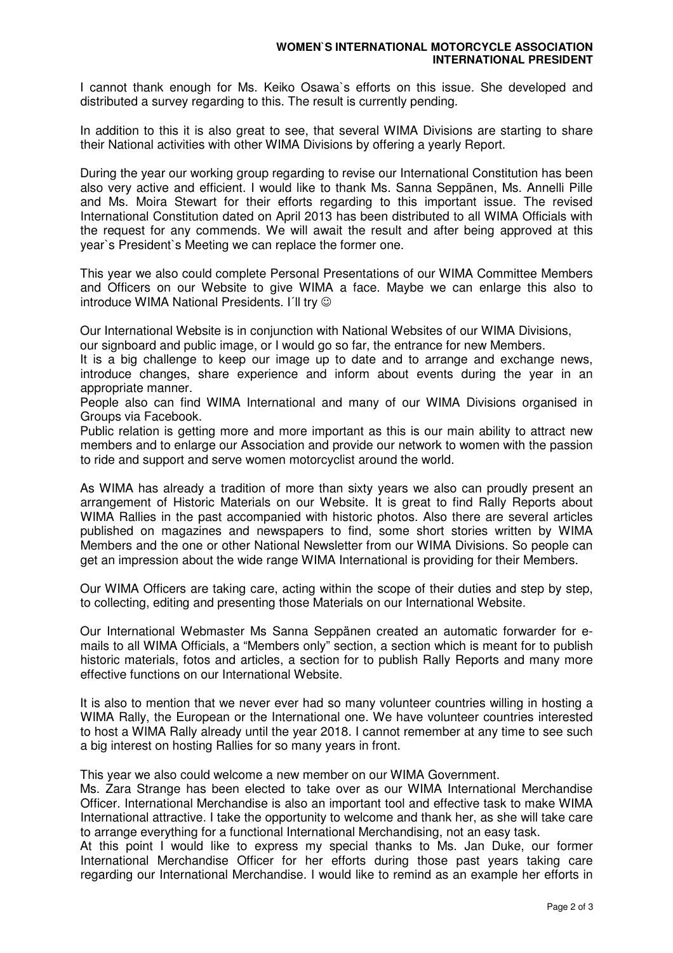I cannot thank enough for Ms. Keiko Osawa`s efforts on this issue. She developed and distributed a survey regarding to this. The result is currently pending.

In addition to this it is also great to see, that several WIMA Divisions are starting to share their National activities with other WIMA Divisions by offering a yearly Report.

During the year our working group regarding to revise our International Constitution has been also very active and efficient. I would like to thank Ms. Sanna Seppänen, Ms. Annelli Pille and Ms. Moira Stewart for their efforts regarding to this important issue. The revised International Constitution dated on April 2013 has been distributed to all WIMA Officials with the request for any commends. We will await the result and after being approved at this year`s President`s Meeting we can replace the former one.

This year we also could complete Personal Presentations of our WIMA Committee Members and Officers on our Website to give WIMA a face. Maybe we can enlarge this also to introduce WIMA National Presidents. I'll try  $\odot$ 

Our International Website is in conjunction with National Websites of our WIMA Divisions,

our signboard and public image, or I would go so far, the entrance for new Members.

It is a big challenge to keep our image up to date and to arrange and exchange news, introduce changes, share experience and inform about events during the year in an appropriate manner.

People also can find WIMA International and many of our WIMA Divisions organised in Groups via Facebook.

Public relation is getting more and more important as this is our main ability to attract new members and to enlarge our Association and provide our network to women with the passion to ride and support and serve women motorcyclist around the world.

As WIMA has already a tradition of more than sixty years we also can proudly present an arrangement of Historic Materials on our Website. It is great to find Rally Reports about WIMA Rallies in the past accompanied with historic photos. Also there are several articles published on magazines and newspapers to find, some short stories written by WIMA Members and the one or other National Newsletter from our WIMA Divisions. So people can get an impression about the wide range WIMA International is providing for their Members.

Our WIMA Officers are taking care, acting within the scope of their duties and step by step, to collecting, editing and presenting those Materials on our International Website.

Our International Webmaster Ms Sanna Seppänen created an automatic forwarder for emails to all WIMA Officials, a "Members only" section, a section which is meant for to publish historic materials, fotos and articles, a section for to publish Rally Reports and many more effective functions on our International Website.

It is also to mention that we never ever had so many volunteer countries willing in hosting a WIMA Rally, the European or the International one. We have volunteer countries interested to host a WIMA Rally already until the year 2018. I cannot remember at any time to see such a big interest on hosting Rallies for so many years in front.

This year we also could welcome a new member on our WIMA Government.

Ms. Zara Strange has been elected to take over as our WIMA International Merchandise Officer. International Merchandise is also an important tool and effective task to make WIMA International attractive. I take the opportunity to welcome and thank her, as she will take care to arrange everything for a functional International Merchandising, not an easy task.

At this point I would like to express my special thanks to Ms. Jan Duke, our former International Merchandise Officer for her efforts during those past years taking care regarding our International Merchandise. I would like to remind as an example her efforts in